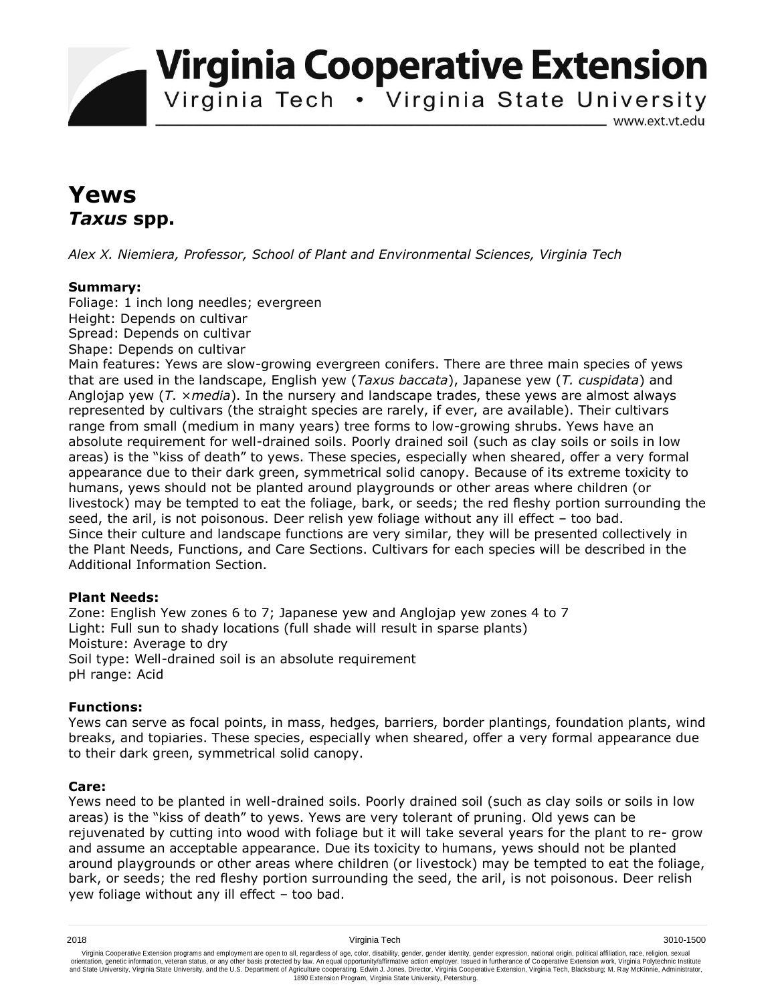**Virginia Cooperative Extension** 

Virginia Tech . Virginia State University

www.ext.vt.edu

# **Yews**  *Taxus* **spp.**

*Alex X. Niemiera, Professor, School of Plant and Environmental Sciences, Virginia Tech*

## **Summary:**

Foliage: 1 inch long needles; evergreen Height: Depends on cultivar Spread: Depends on cultivar Shape: Depends on cultivar

Main features: Yews are slow-growing evergreen conifers. There are three main species of yews that are used in the landscape, English yew (*Taxus baccata*), Japanese yew (*T. cuspidata*) and Anglojap yew (*T*. ×*media*). In the nursery and landscape trades, these yews are almost always represented by cultivars (the straight species are rarely, if ever, are available). Their cultivars range from small (medium in many years) tree forms to low-growing shrubs. Yews have an absolute requirement for well-drained soils. Poorly drained soil (such as clay soils or soils in low areas) is the "kiss of death" to yews. These species, especially when sheared, offer a very formal appearance due to their dark green, symmetrical solid canopy. Because of its extreme toxicity to humans, yews should not be planted around playgrounds or other areas where children (or livestock) may be tempted to eat the foliage, bark, or seeds; the red fleshy portion surrounding the seed, the aril, is not poisonous. Deer relish yew foliage without any ill effect – too bad. Since their culture and landscape functions are very similar, they will be presented collectively in the Plant Needs, Functions, and Care Sections. Cultivars for each species will be described in the Additional Information Section.

## **Plant Needs:**

Zone: English Yew zones 6 to 7; Japanese yew and Anglojap yew zones 4 to 7 Light: Full sun to shady locations (full shade will result in sparse plants) Moisture: Average to dry Soil type: Well-drained soil is an absolute requirement pH range: Acid

## **Functions:**

Yews can serve as focal points, in mass, hedges, barriers, border plantings, foundation plants, wind breaks, and topiaries. These species, especially when sheared, offer a very formal appearance due to their dark green, symmetrical solid canopy.

## **Care:**

Yews need to be planted in well-drained soils. Poorly drained soil (such as clay soils or soils in low areas) is the "kiss of death" to yews. Yews are very tolerant of pruning. Old yews can be rejuvenated by cutting into wood with foliage but it will take several years for the plant to re- grow and assume an acceptable appearance. Due its toxicity to humans, yews should not be planted around playgrounds or other areas where children (or livestock) may be tempted to eat the foliage, bark, or seeds; the red fleshy portion surrounding the seed, the aril, is not poisonous. Deer relish yew foliage without any ill effect – too bad.